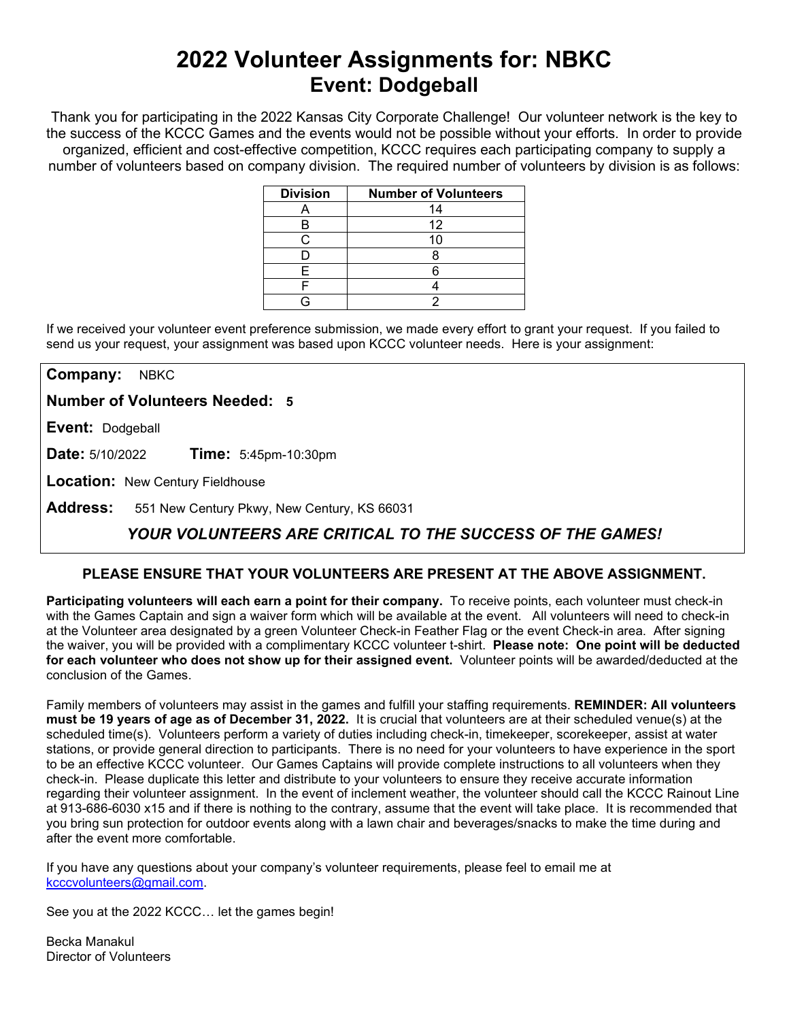# **2022 Volunteer Assignments for: NBKC Event: Dodgeball**

Thank you for participating in the 2022 Kansas City Corporate Challenge! Our volunteer network is the key to the success of the KCCC Games and the events would not be possible without your efforts.In order to provide organized, efficient and cost-effective competition, KCCC requires each participating company to supply a number of volunteers based on company division. The required number of volunteers by division is as follows:

| <b>Division</b> | <b>Number of Volunteers</b> |
|-----------------|-----------------------------|
|                 | 14                          |
|                 | 12                          |
|                 |                             |
|                 |                             |
|                 |                             |
|                 |                             |
|                 |                             |

If we received your volunteer event preference submission, we made every effort to grant your request. If you failed to send us your request, your assignment was based upon KCCC volunteer needs. Here is your assignment:

**Company:** NBKC

**Number of Volunteers Needed: 5**

**Event:** Dodgeball

**Date:** 5/10/2022 **Time:** 5:45pm-10:30pm

**Location:** New Century Fieldhouse

**Address:** 551 New Century Pkwy, New Century, KS 66031

## *YOUR VOLUNTEERS ARE CRITICAL TO THE SUCCESS OF THE GAMES!*

### **PLEASE ENSURE THAT YOUR VOLUNTEERS ARE PRESENT AT THE ABOVE ASSIGNMENT.**

**Participating volunteers will each earn a point for their company.** To receive points, each volunteer must check-in with the Games Captain and sign a waiver form which will be available at the event. All volunteers will need to check-in at the Volunteer area designated by a green Volunteer Check-in Feather Flag or the event Check-in area. After signing the waiver, you will be provided with a complimentary KCCC volunteer t-shirt. **Please note: One point will be deducted for each volunteer who does not show up for their assigned event.** Volunteer points will be awarded/deducted at the conclusion of the Games.

Family members of volunteers may assist in the games and fulfill your staffing requirements. **REMINDER: All volunteers must be 19 years of age as of December 31, 2022.** It is crucial that volunteers are at their scheduled venue(s) at the scheduled time(s). Volunteers perform a variety of duties including check-in, timekeeper, scorekeeper, assist at water stations, or provide general direction to participants. There is no need for your volunteers to have experience in the sport to be an effective KCCC volunteer. Our Games Captains will provide complete instructions to all volunteers when they check-in. Please duplicate this letter and distribute to your volunteers to ensure they receive accurate information regarding their volunteer assignment. In the event of inclement weather, the volunteer should call the KCCC Rainout Line at 913-686-6030 x15 and if there is nothing to the contrary, assume that the event will take place. It is recommended that you bring sun protection for outdoor events along with a lawn chair and beverages/snacks to make the time during and after the event more comfortable.

If you have any questions about your company's volunteer requirements, please feel to email me at [kcccvolunteers@gmail.com.](mailto:kcccvolunteers@gmail.com)

See you at the 2022 KCCC… let the games begin!

Becka Manakul Director of Volunteers